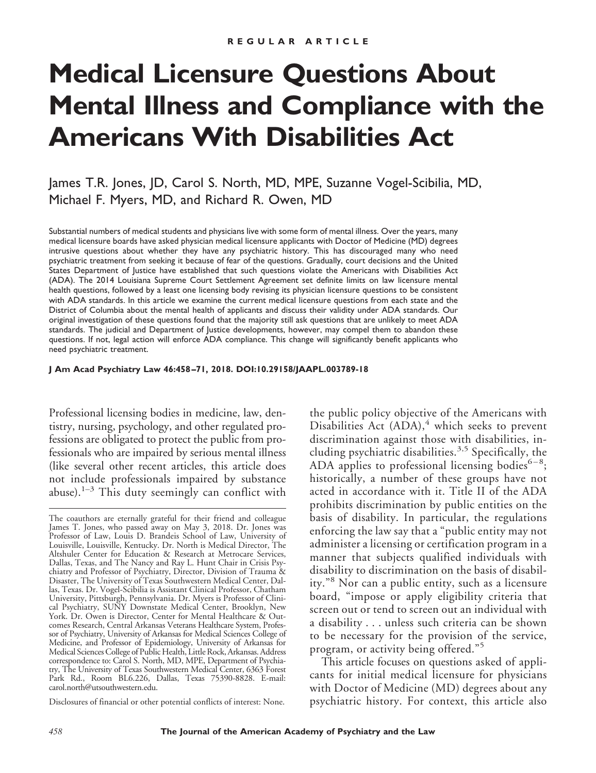# **Medical Licensure Questions About Mental Illness and Compliance with the Americans With Disabilities Act**

James T.R. Jones, JD, Carol S. North, MD, MPE, Suzanne Vogel-Scibilia, MD, Michael F. Myers, MD, and Richard R. Owen, MD

Substantial numbers of medical students and physicians live with some form of mental illness. Over the years, many medical licensure boards have asked physician medical licensure applicants with Doctor of Medicine (MD) degrees intrusive questions about whether they have any psychiatric history. This has discouraged many who need psychiatric treatment from seeking it because of fear of the questions. Gradually, court decisions and the United States Department of Justice have established that such questions violate the Americans with Disabilities Act (ADA). The 2014 Louisiana Supreme Court Settlement Agreement set definite limits on law licensure mental health questions, followed by a least one licensing body revising its physician licensure questions to be consistent with ADA standards. In this article we examine the current medical licensure questions from each state and the District of Columbia about the mental health of applicants and discuss their validity under ADA standards. Our original investigation of these questions found that the majority still ask questions that are unlikely to meet ADA standards. The judicial and Department of Justice developments, however, may compel them to abandon these questions. If not, legal action will enforce ADA compliance. This change will significantly benefit applicants who need psychiatric treatment.

**J Am Acad Psychiatry Law 46:458 –71, 2018. DOI:10.29158/JAAPL.003789-18**

Professional licensing bodies in medicine, law, dentistry, nursing, psychology, and other regulated professions are obligated to protect the public from professionals who are impaired by serious mental illness (like several other recent articles, this article does not include professionals impaired by substance abuse).<sup>1-3</sup> This duty seemingly can conflict with

Disclosures of financial or other potential conflicts of interest: None.

the public policy objective of the Americans with Disabilities Act  $(ADA)$ , which seeks to prevent discrimination against those with disabilities, including psychiatric disabilities.<sup>3,5</sup> Specifically, the ADA applies to professional licensing bodies $6-8$ ; historically, a number of these groups have not acted in accordance with it. Title II of the ADA prohibits discrimination by public entities on the basis of disability. In particular, the regulations enforcing the law say that a "public entity may not administer a licensing or certification program in a manner that subjects qualified individuals with disability to discrimination on the basis of disability."<sup>8</sup> Nor can a public entity, such as a licensure board, "impose or apply eligibility criteria that screen out or tend to screen out an individual with a disability... unless such criteria can be shown to be necessary for the provision of the service, program, or activity being offered."<sup>5</sup>

This article focuses on questions asked of applicants for initial medical licensure for physicians with Doctor of Medicine (MD) degrees about any psychiatric history. For context, this article also

The coauthors are eternally grateful for their friend and colleague James T. Jones, who passed away on May 3, 2018. Dr. Jones was Professor of Law, Louis D. Brandeis School of Law, University of Louisville, Louisville, Kentucky. Dr. North is Medical Director, The Altshuler Center for Education & Research at Metrocare Services, Dallas, Texas, and The Nancy and Ray L. Hunt Chair in Crisis Psychiatry and Professor of Psychiatry, Director, Division of Trauma & Disaster, The University of Texas Southwestern Medical Center, Dallas, Texas. Dr. Vogel-Scibilia is Assistant Clinical Professor, Chatham University, Pittsburgh, Pennsylvania. Dr. Myers is Professor of Clinical Psychiatry, SUNY Downstate Medical Center, Brooklyn, New York. Dr. Owen is Director, Center for Mental Healthcare & Outcomes Research, Central Arkansas Veterans Healthcare System, Professor of Psychiatry, University of Arkansas for Medical Sciences College of Medicine, and Professor of Epidemiology, University of Arkansas for Medical Sciences College of Public Health, Little Rock, Arkansas. Address correspondence to: Carol S. North, MD, MPE, Department of Psychiatry, The University of Texas Southwestern Medical Center, 6363 Forest Park Rd., Room BL6.226, Dallas, Texas 75390-8828. E-mail: carol.north@utsouthwestern.edu.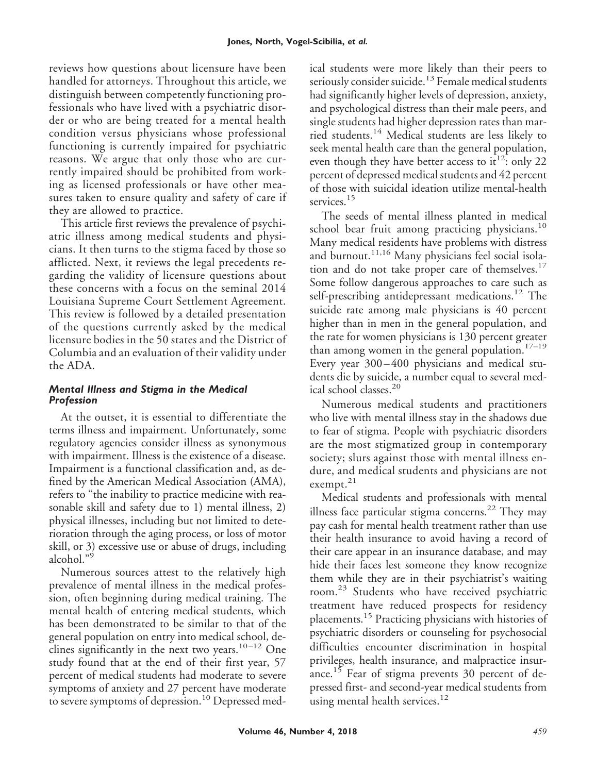reviews how questions about licensure have been handled for attorneys. Throughout this article, we distinguish between competently functioning professionals who have lived with a psychiatric disorder or who are being treated for a mental health condition versus physicians whose professional functioning is currently impaired for psychiatric reasons. We argue that only those who are currently impaired should be prohibited from working as licensed professionals or have other measures taken to ensure quality and safety of care if they are allowed to practice.

This article first reviews the prevalence of psychiatric illness among medical students and physicians. It then turns to the stigma faced by those so afflicted. Next, it reviews the legal precedents regarding the validity of licensure questions about these concerns with a focus on the seminal 2014 Louisiana Supreme Court Settlement Agreement. This review is followed by a detailed presentation of the questions currently asked by the medical licensure bodies in the 50 states and the District of Columbia and an evaluation of their validity under the ADA.

# *Mental Illness and Stigma in the Medical Profession*

At the outset, it is essential to differentiate the terms illness and impairment. Unfortunately, some regulatory agencies consider illness as synonymous with impairment. Illness is the existence of a disease. Impairment is a functional classification and, as defined by the American Medical Association (AMA), refers to "the inability to practice medicine with reasonable skill and safety due to 1) mental illness, 2) physical illnesses, including but not limited to deterioration through the aging process, or loss of motor skill, or 3) excessive use or abuse of drugs, including alcohol."<sup>9</sup>

Numerous sources attest to the relatively high prevalence of mental illness in the medical profession, often beginning during medical training. The mental health of entering medical students, which has been demonstrated to be similar to that of the general population on entry into medical school, declines significantly in the next two years.<sup>10-12</sup> One study found that at the end of their first year, 57 percent of medical students had moderate to severe symptoms of anxiety and 27 percent have moderate to severe symptoms of depression.<sup>10</sup> Depressed med-

ical students were more likely than their peers to seriously consider suicide.<sup>13</sup> Female medical students had significantly higher levels of depression, anxiety, and psychological distress than their male peers, and single students had higher depression rates than married students.<sup>14</sup> Medical students are less likely to seek mental health care than the general population, even though they have better access to it<sup>12</sup>: only 22 percent of depressed medical students and 42 percent of those with suicidal ideation utilize mental-health services.<sup>15</sup>

The seeds of mental illness planted in medical school bear fruit among practicing physicians.<sup>10</sup> Many medical residents have problems with distress and burnout.<sup>11,16</sup> Many physicians feel social isolation and do not take proper care of themselves. $17$ Some follow dangerous approaches to care such as self-prescribing antidepressant medications.<sup>12</sup> The suicide rate among male physicians is 40 percent higher than in men in the general population, and the rate for women physicians is 130 percent greater than among women in the general population. $17-19$ Every year 300–400 physicians and medical students die by suicide, a number equal to several medical school classes.<sup>20</sup>

Numerous medical students and practitioners who live with mental illness stay in the shadows due to fear of stigma. People with psychiatric disorders are the most stigmatized group in contemporary society; slurs against those with mental illness endure, and medical students and physicians are not exempt.<sup>21</sup>

Medical students and professionals with mental illness face particular stigma concerns.<sup>22</sup> They may pay cash for mental health treatment rather than use their health insurance to avoid having a record of their care appear in an insurance database, and may hide their faces lest someone they know recognize them while they are in their psychiatrist's waiting room.<sup>23</sup> Students who have received psychiatric treatment have reduced prospects for residency placements.<sup>15</sup> Practicing physicians with histories of psychiatric disorders or counseling for psychosocial difficulties encounter discrimination in hospital privileges, health insurance, and malpractice insurance.<sup>15</sup> Fear of stigma prevents 30 percent of depressed first- and second-year medical students from using mental health services.<sup>12</sup>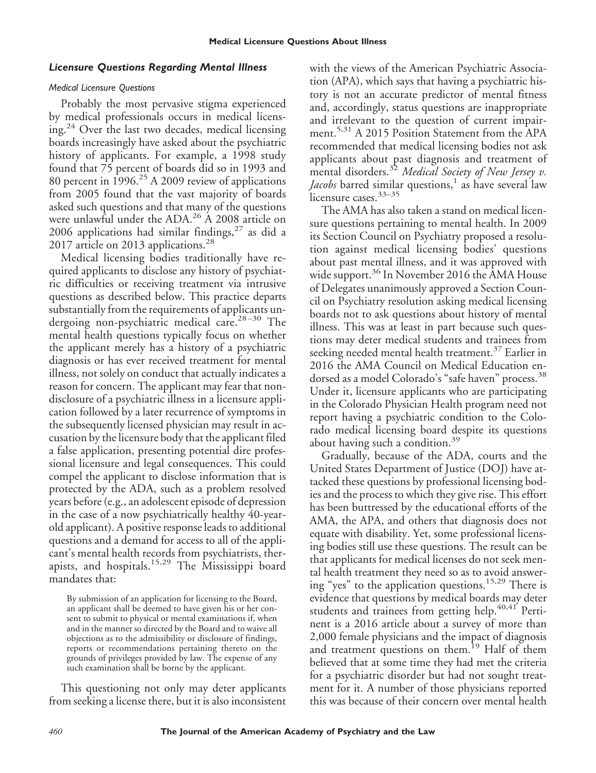# *Licensure Questions Regarding Mental Illness*

### *Medical Licensure Questions*

Probably the most pervasive stigma experienced by medical professionals occurs in medical licensing.<sup>24</sup> Over the last two decades, medical licensing boards increasingly have asked about the psychiatric history of applicants. For example, a 1998 study found that 75 percent of boards did so in 1993 and 80 percent in  $1996.<sup>25</sup>$  A 2009 review of applications from 2005 found that the vast majority of boards asked such questions and that many of the questions were unlawful under the ADA.<sup>26</sup> A 2008 article on 2006 applications had similar findings,  $27$  as did a 2017 article on 2013 applications.<sup>28</sup>

Medical licensing bodies traditionally have required applicants to disclose any history of psychiatric difficulties or receiving treatment via intrusive questions as described below. This practice departs substantially from the requirements of applicants undergoing non-psychiatric medical care.<sup>28-30</sup> The mental health questions typically focus on whether the applicant merely has a history of a psychiatric diagnosis or has ever received treatment for mental illness, not solely on conduct that actually indicates a reason for concern. The applicant may fear that nondisclosure of a psychiatric illness in a licensure application followed by a later recurrence of symptoms in the subsequently licensed physician may result in accusation by the licensure body that the applicant filed a false application, presenting potential dire professional licensure and legal consequences. This could compel the applicant to disclose information that is protected by the ADA, such as a problem resolved years before (e.g., an adolescent episode of depression in the case of a now psychiatrically healthy 40-yearold applicant). A positive response leads to additional questions and a demand for access to all of the applicant's mental health records from psychiatrists, therapists, and hospitals.15,29 The Mississippi board mandates that:

By submission of an application for licensing to the Board, an applicant shall be deemed to have given his or her consent to submit to physical or mental examinations if, when and in the manner so directed by the Board and to waive all objections as to the admissibility or disclosure of findings, reports or recommendations pertaining thereto on the grounds of privileges provided by law. The expense of any such examination shall be borne by the applicant.

This questioning not only may deter applicants from seeking a license there, but it is also inconsistent

with the views of the American Psychiatric Association (APA), which says that having a psychiatric history is not an accurate predictor of mental fitness and, accordingly, status questions are inappropriate and irrelevant to the question of current impairment.<sup>5,31</sup> A 2015 Position Statement from the APA recommended that medical licensing bodies not ask applicants about past diagnosis and treatment of mental disorders.<sup>32</sup> *Medical Society of New Jersey v. Jacobs* barred similar questions,<sup>1</sup> as have several law licensure cases.<sup>33-35</sup>

The AMA has also taken a stand on medical licensure questions pertaining to mental health. In 2009 its Section Council on Psychiatry proposed a resolution against medical licensing bodies' questions about past mental illness, and it was approved with wide support.<sup>36</sup> In November 2016 the AMA House of Delegates unanimously approved a Section Council on Psychiatry resolution asking medical licensing boards not to ask questions about history of mental illness. This was at least in part because such questions may deter medical students and trainees from seeking needed mental health treatment.<sup>37</sup> Earlier in 2016 the AMA Council on Medical Education endorsed as a model Colorado's "safe haven" process.<sup>38</sup> Under it, licensure applicants who are participating in the Colorado Physician Health program need not report having a psychiatric condition to the Colorado medical licensing board despite its questions about having such a condition.<sup>39</sup>

Gradually, because of the ADA, courts and the United States Department of Justice (DOJ) have attacked these questions by professional licensing bodies and the process to which they give rise. This effort has been buttressed by the educational efforts of the AMA, the APA, and others that diagnosis does not equate with disability. Yet, some professional licensing bodies still use these questions. The result can be that applicants for medical licenses do not seek mental health treatment they need so as to avoid answering "yes" to the application questions.15,29 There is evidence that questions by medical boards may deter students and trainees from getting help.<sup>40,41</sup> Pertinent is a 2016 article about a survey of more than 2,000 female physicians and the impact of diagnosis and treatment questions on them.<sup>19</sup> Half of them believed that at some time they had met the criteria for a psychiatric disorder but had not sought treatment for it. A number of those physicians reported this was because of their concern over mental health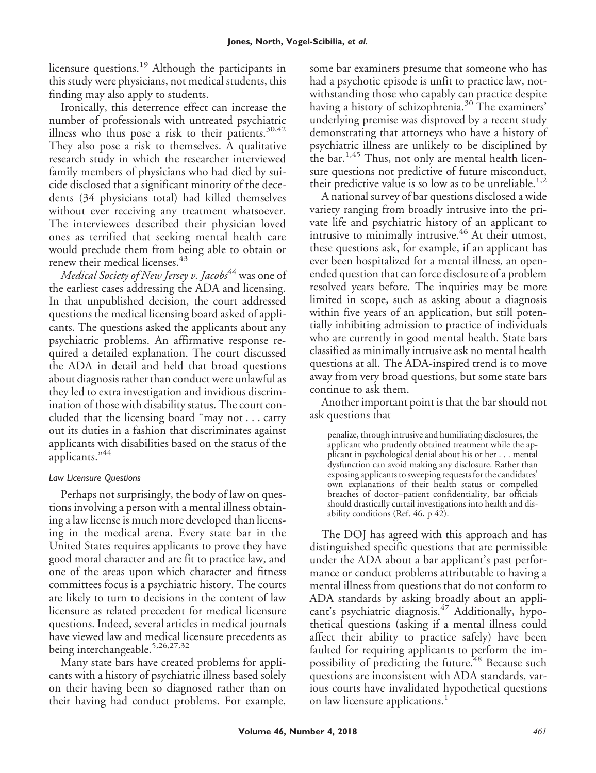licensure questions.<sup>19</sup> Although the participants in this study were physicians, not medical students, this finding may also apply to students.

Ironically, this deterrence effect can increase the number of professionals with untreated psychiatric illness who thus pose a risk to their patients. $30,42$ They also pose a risk to themselves. A qualitative research study in which the researcher interviewed family members of physicians who had died by suicide disclosed that a significant minority of the decedents (34 physicians total) had killed themselves without ever receiving any treatment whatsoever. The interviewees described their physician loved ones as terrified that seeking mental health care would preclude them from being able to obtain or renew their medical licenses.<sup>43</sup>

*Medical Society of New Jersey v. Jacobs*<sup>44</sup> was one of the earliest cases addressing the ADA and licensing. In that unpublished decision, the court addressed questions the medical licensing board asked of applicants. The questions asked the applicants about any psychiatric problems. An affirmative response required a detailed explanation. The court discussed the ADA in detail and held that broad questions about diagnosis rather than conduct were unlawful as they led to extra investigation and invidious discrimination of those with disability status. The court concluded that the licensing board "may not... carry out its duties in a fashion that discriminates against applicants with disabilities based on the status of the applicants."<sup>44</sup>

# *Law Licensure Questions*

Perhaps not surprisingly, the body of law on questions involving a person with a mental illness obtaining a law license is much more developed than licensing in the medical arena. Every state bar in the United States requires applicants to prove they have good moral character and are fit to practice law, and one of the areas upon which character and fitness committees focus is a psychiatric history. The courts are likely to turn to decisions in the content of law licensure as related precedent for medical licensure questions. Indeed, several articles in medical journals have viewed law and medical licensure precedents as being interchangeable.<sup>5,26,27,32</sup>

Many state bars have created problems for applicants with a history of psychiatric illness based solely on their having been so diagnosed rather than on their having had conduct problems. For example,

some bar examiners presume that someone who has had a psychotic episode is unfit to practice law, notwithstanding those who capably can practice despite having a history of schizophrenia.<sup>30</sup> The examiners' underlying premise was disproved by a recent study demonstrating that attorneys who have a history of psychiatric illness are unlikely to be disciplined by the bar.<sup>1,45</sup> Thus, not only are mental health licensure questions not predictive of future misconduct, their predictive value is so low as to be unreliable.<sup>1,2</sup>

A national survey of bar questions disclosed a wide variety ranging from broadly intrusive into the private life and psychiatric history of an applicant to intrusive to minimally intrusive.<sup>46</sup> At their utmost, these questions ask, for example, if an applicant has ever been hospitalized for a mental illness, an openended question that can force disclosure of a problem resolved years before. The inquiries may be more limited in scope, such as asking about a diagnosis within five years of an application, but still potentially inhibiting admission to practice of individuals who are currently in good mental health. State bars classified as minimally intrusive ask no mental health questions at all. The ADA-inspired trend is to move away from very broad questions, but some state bars continue to ask them.

Another important point is that the bar should not ask questions that

penalize, through intrusive and humiliating disclosures, the applicant who prudently obtained treatment while the applicant in psychological denial about his or her... mental dysfunction can avoid making any disclosure. Rather than exposing applicants to sweeping requests for the candidates' own explanations of their health status or compelled breaches of doctor–patient confidentiality, bar officials should drastically curtail investigations into health and disability conditions (Ref. 46, p 42).

The DOJ has agreed with this approach and has distinguished specific questions that are permissible under the ADA about a bar applicant's past performance or conduct problems attributable to having a mental illness from questions that do not conform to ADA standards by asking broadly about an applicant's psychiatric diagnosis.<sup>47</sup> Additionally, hypothetical questions (asking if a mental illness could affect their ability to practice safely) have been faulted for requiring applicants to perform the impossibility of predicting the future.<sup>48</sup> Because such questions are inconsistent with ADA standards, various courts have invalidated hypothetical questions on law licensure applications.<sup>1</sup>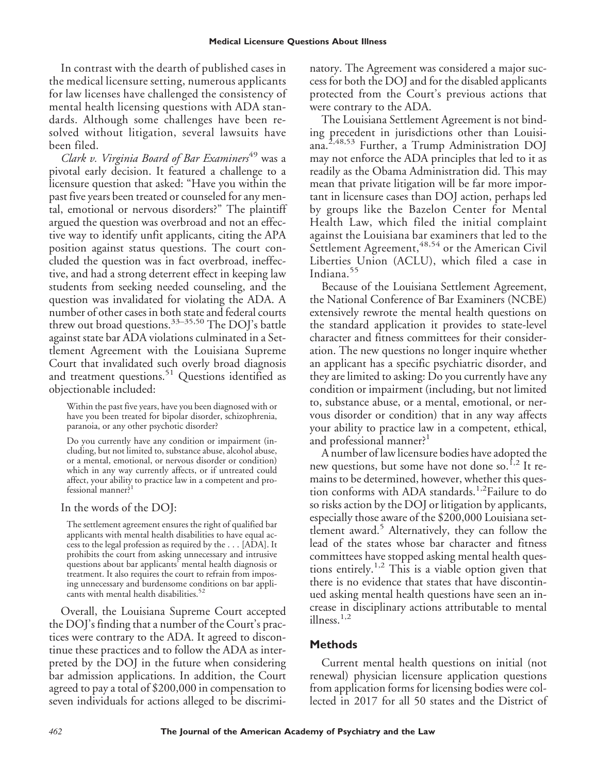In contrast with the dearth of published cases in the medical licensure setting, numerous applicants for law licenses have challenged the consistency of mental health licensing questions with ADA standards. Although some challenges have been resolved without litigation, several lawsuits have been filed.

*Clark v. Virginia Board of Bar Examiners*<sup>49</sup> was a pivotal early decision. It featured a challenge to a licensure question that asked: "Have you within the past five years been treated or counseled for any mental, emotional or nervous disorders?" The plaintiff argued the question was overbroad and not an effective way to identify unfit applicants, citing the APA position against status questions. The court concluded the question was in fact overbroad, ineffective, and had a strong deterrent effect in keeping law students from seeking needed counseling, and the question was invalidated for violating the ADA. A number of other cases in both state and federal courts threw out broad questions.<sup>33–35,50</sup> The DOJ's battle against state bar ADA violations culminated in a Settlement Agreement with the Louisiana Supreme Court that invalidated such overly broad diagnosis and treatment questions.<sup>51</sup> Questions identified as objectionable included:

Within the past five years, have you been diagnosed with or have you been treated for bipolar disorder, schizophrenia, paranoia, or any other psychotic disorder?

Do you currently have any condition or impairment (including, but not limited to, substance abuse, alcohol abuse, or a mental, emotional, or nervous disorder or condition) which in any way currently affects, or if untreated could affect, your ability to practice law in a competent and professional manner?<sup>1</sup>

In the words of the DOJ:

The settlement agreement ensures the right of qualified bar applicants with mental health disabilities to have equal access to the legal profession as required by the... [ADA]. It prohibits the court from asking unnecessary and intrusive questions about bar applicants' mental health diagnosis or treatment. It also requires the court to refrain from imposing unnecessary and burdensome conditions on bar applicants with mental health disabilities.<sup>52</sup>

Overall, the Louisiana Supreme Court accepted the DOJ's finding that a number of the Court's practices were contrary to the ADA. It agreed to discontinue these practices and to follow the ADA as interpreted by the DOJ in the future when considering bar admission applications. In addition, the Court agreed to pay a total of \$200,000 in compensation to seven individuals for actions alleged to be discriminatory. The Agreement was considered a major success for both the DOJ and for the disabled applicants protected from the Court's previous actions that were contrary to the ADA.

The Louisiana Settlement Agreement is not binding precedent in jurisdictions other than Louisiana.2,48,53 Further, a Trump Administration DOJ may not enforce the ADA principles that led to it as readily as the Obama Administration did. This may mean that private litigation will be far more important in licensure cases than DOJ action, perhaps led by groups like the Bazelon Center for Mental Health Law, which filed the initial complaint against the Louisiana bar examiners that led to the Settlement Agreement, <sup>48,54</sup> or the American Civil Liberties Union (ACLU), which filed a case in Indiana.<sup>55</sup>

Because of the Louisiana Settlement Agreement, the National Conference of Bar Examiners (NCBE) extensively rewrote the mental health questions on the standard application it provides to state-level character and fitness committees for their consideration. The new questions no longer inquire whether an applicant has a specific psychiatric disorder, and they are limited to asking: Do you currently have any condition or impairment (including, but not limited to, substance abuse, or a mental, emotional, or nervous disorder or condition) that in any way affects your ability to practice law in a competent, ethical, and professional manner?<sup>1</sup>

A number of law licensure bodies have adopted the new questions, but some have not done so.<sup>1,2</sup> It remains to be determined, however, whether this question conforms with ADA standards.<sup>1,2</sup>Failure to do so risks action by the DOJ or litigation by applicants, especially those aware of the \$200,000 Louisiana settlement award.<sup>5</sup> Alternatively, they can follow the lead of the states whose bar character and fitness committees have stopped asking mental health questions entirely.<sup>1,2</sup> This is a viable option given that there is no evidence that states that have discontinued asking mental health questions have seen an increase in disciplinary actions attributable to mental illness.<sup>1,2</sup>

# **Methods**

Current mental health questions on initial (not renewal) physician licensure application questions from application forms for licensing bodies were collected in 2017 for all 50 states and the District of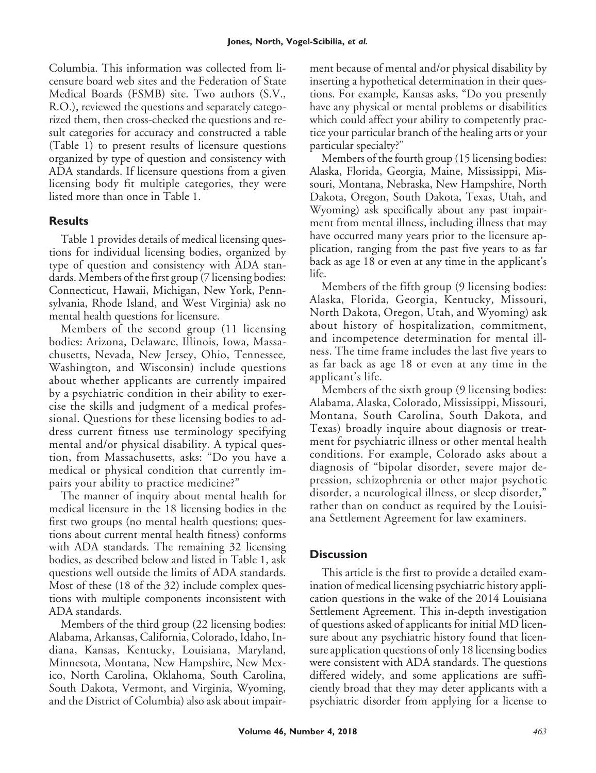Columbia. This information was collected from licensure board web sites and the Federation of State Medical Boards (FSMB) site. Two authors (S.V., R.O.), reviewed the questions and separately categorized them, then cross-checked the questions and result categories for accuracy and constructed a table (Table 1) to present results of licensure questions organized by type of question and consistency with ADA standards. If licensure questions from a given licensing body fit multiple categories, they were listed more than once in Table 1.

# **Results**

Table 1 provides details of medical licensing questions for individual licensing bodies, organized by type of question and consistency with ADA standards. Members of the first group (7 licensing bodies: Connecticut, Hawaii, Michigan, New York, Pennsylvania, Rhode Island, and West Virginia) ask no mental health questions for licensure.

Members of the second group (11 licensing bodies: Arizona, Delaware, Illinois, Iowa, Massachusetts, Nevada, New Jersey, Ohio, Tennessee, Washington, and Wisconsin) include questions about whether applicants are currently impaired by a psychiatric condition in their ability to exercise the skills and judgment of a medical professional. Questions for these licensing bodies to address current fitness use terminology specifying mental and/or physical disability. A typical question, from Massachusetts, asks: "Do you have a medical or physical condition that currently impairs your ability to practice medicine?"

The manner of inquiry about mental health for medical licensure in the 18 licensing bodies in the first two groups (no mental health questions; questions about current mental health fitness) conforms with ADA standards. The remaining 32 licensing bodies, as described below and listed in Table 1, ask questions well outside the limits of ADA standards. Most of these (18 of the 32) include complex questions with multiple components inconsistent with ADA standards.

Members of the third group (22 licensing bodies: Alabama, Arkansas, California, Colorado, Idaho, Indiana, Kansas, Kentucky, Louisiana, Maryland, Minnesota, Montana, New Hampshire, New Mexico, North Carolina, Oklahoma, South Carolina, South Dakota, Vermont, and Virginia, Wyoming, and the District of Columbia) also ask about impairment because of mental and/or physical disability by inserting a hypothetical determination in their questions. For example, Kansas asks, "Do you presently have any physical or mental problems or disabilities which could affect your ability to competently practice your particular branch of the healing arts or your particular specialty?"

Members of the fourth group (15 licensing bodies: Alaska, Florida, Georgia, Maine, Mississippi, Missouri, Montana, Nebraska, New Hampshire, North Dakota, Oregon, South Dakota, Texas, Utah, and Wyoming) ask specifically about any past impairment from mental illness, including illness that may have occurred many years prior to the licensure application, ranging from the past five years to as far back as age 18 or even at any time in the applicant's life.

Members of the fifth group (9 licensing bodies: Alaska, Florida, Georgia, Kentucky, Missouri, North Dakota, Oregon, Utah, and Wyoming) ask about history of hospitalization, commitment, and incompetence determination for mental illness. The time frame includes the last five years to as far back as age 18 or even at any time in the applicant's life.

Members of the sixth group (9 licensing bodies: Alabama, Alaska, Colorado, Mississippi, Missouri, Montana, South Carolina, South Dakota, and Texas) broadly inquire about diagnosis or treatment for psychiatric illness or other mental health conditions. For example, Colorado asks about a diagnosis of "bipolar disorder, severe major depression, schizophrenia or other major psychotic disorder, a neurological illness, or sleep disorder," rather than on conduct as required by the Louisiana Settlement Agreement for law examiners.

# **Discussion**

This article is the first to provide a detailed examination of medical licensing psychiatric history application questions in the wake of the 2014 Louisiana Settlement Agreement. This in-depth investigation of questions asked of applicants for initial MD licensure about any psychiatric history found that licensure application questions of only 18 licensing bodies were consistent with ADA standards. The questions differed widely, and some applications are sufficiently broad that they may deter applicants with a psychiatric disorder from applying for a license to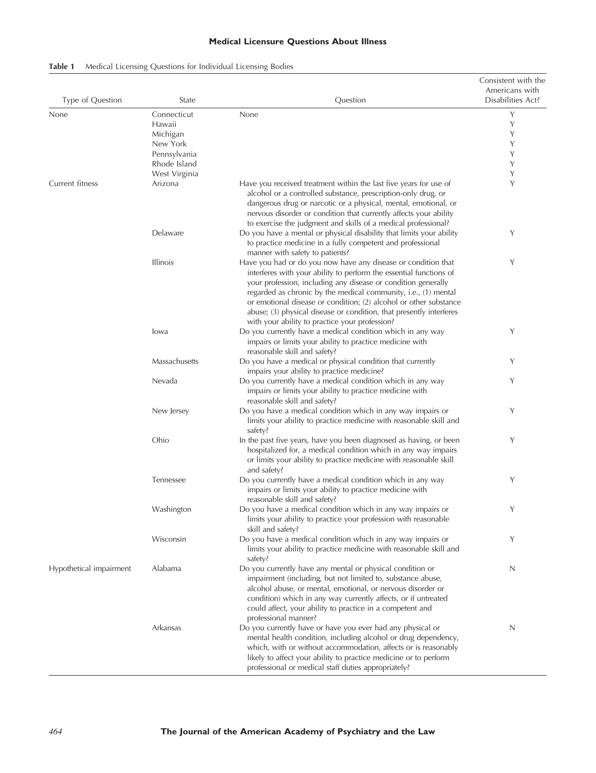# **Medical Licensure Questions About Illness**

| Table 1 |  |  |  |  | Medical Licensing Questions for Individual Licensing Bodies |  |  |
|---------|--|--|--|--|-------------------------------------------------------------|--|--|
|---------|--|--|--|--|-------------------------------------------------------------|--|--|

| Type of Question        | State           | Question                                                                                                                                                                                                                                                                                                                                                                                                           | Consistent with the<br>Americans with<br>Disabilities Act? |
|-------------------------|-----------------|--------------------------------------------------------------------------------------------------------------------------------------------------------------------------------------------------------------------------------------------------------------------------------------------------------------------------------------------------------------------------------------------------------------------|------------------------------------------------------------|
| None                    | Connecticut     | None                                                                                                                                                                                                                                                                                                                                                                                                               | Y                                                          |
|                         | Hawaii          |                                                                                                                                                                                                                                                                                                                                                                                                                    | Y                                                          |
|                         | Michigan        |                                                                                                                                                                                                                                                                                                                                                                                                                    | Y                                                          |
|                         | New York        |                                                                                                                                                                                                                                                                                                                                                                                                                    | Y                                                          |
|                         | Pennsylvania    |                                                                                                                                                                                                                                                                                                                                                                                                                    | Y                                                          |
|                         | Rhode Island    |                                                                                                                                                                                                                                                                                                                                                                                                                    | Y                                                          |
|                         | West Virginia   |                                                                                                                                                                                                                                                                                                                                                                                                                    | Y                                                          |
| Current fitness         | Arizona         | Have you received treatment within the last five years for use of                                                                                                                                                                                                                                                                                                                                                  | Y                                                          |
|                         |                 | alcohol or a controlled substance, prescription-only drug, or<br>dangerous drug or narcotic or a physical, mental, emotional, or<br>nervous disorder or condition that currently affects your ability<br>to exercise the judgment and skills of a medical professional?                                                                                                                                            |                                                            |
|                         | Delaware        | Do you have a mental or physical disability that limits your ability<br>to practice medicine in a fully competent and professional<br>manner with safety to patients?                                                                                                                                                                                                                                              | Y                                                          |
|                         | <b>Illinois</b> | Have you had or do you now have any disease or condition that<br>interferes with your ability to perform the essential functions of<br>your profession, including any disease or condition generally<br>regarded as chronic by the medical community, i.e., (1) mental<br>or emotional disease or condition; (2) alcohol or other substance<br>abuse; (3) physical disease or condition, that presently interferes | Y                                                          |
|                         | lowa            | with your ability to practice your profession?<br>Do you currently have a medical condition which in any way                                                                                                                                                                                                                                                                                                       | Y                                                          |
|                         |                 | impairs or limits your ability to practice medicine with                                                                                                                                                                                                                                                                                                                                                           |                                                            |
|                         |                 | reasonable skill and safety?                                                                                                                                                                                                                                                                                                                                                                                       | Y                                                          |
|                         | Massachusetts   | Do you have a medical or physical condition that currently                                                                                                                                                                                                                                                                                                                                                         |                                                            |
|                         | Nevada          | impairs your ability to practice medicine?<br>Do you currently have a medical condition which in any way<br>impairs or limits your ability to practice medicine with                                                                                                                                                                                                                                               | Y                                                          |
|                         |                 | reasonable skill and safety?                                                                                                                                                                                                                                                                                                                                                                                       |                                                            |
|                         | New Jersey      | Do you have a medical condition which in any way impairs or<br>limits your ability to practice medicine with reasonable skill and<br>safety?                                                                                                                                                                                                                                                                       | Y                                                          |
|                         | Ohio            | In the past five years, have you been diagnosed as having, or been<br>hospitalized for, a medical condition which in any way impairs<br>or limits your ability to practice medicine with reasonable skill<br>and safety?                                                                                                                                                                                           | Y                                                          |
|                         | Tennessee       | Do you currently have a medical condition which in any way<br>impairs or limits your ability to practice medicine with<br>reasonable skill and safety?                                                                                                                                                                                                                                                             | Υ                                                          |
|                         | Washington      | Do you have a medical condition which in any way impairs or<br>limits your ability to practice your profession with reasonable<br>skill and safety?                                                                                                                                                                                                                                                                | Υ                                                          |
|                         | Wisconsin       | Do you have a medical condition which in any way impairs or<br>limits your ability to practice medicine with reasonable skill and<br>safety?                                                                                                                                                                                                                                                                       | Y                                                          |
| Hypothetical impairment | Alabama         | Do you currently have any mental or physical condition or<br>impairment (including, but not limited to, substance abuse,<br>alcohol abuse, or mental, emotional, or nervous disorder or<br>condition) which in any way currently affects, or if untreated<br>could affect, your ability to practice in a competent and<br>professional manner?                                                                     | N                                                          |
|                         | Arkansas        | Do you currently have or have you ever had any physical or<br>mental health condition, including alcohol or drug dependency,<br>which, with or without accommodation, affects or is reasonably<br>likely to affect your ability to practice medicine or to perform<br>professional or medical staff duties appropriately?                                                                                          | N                                                          |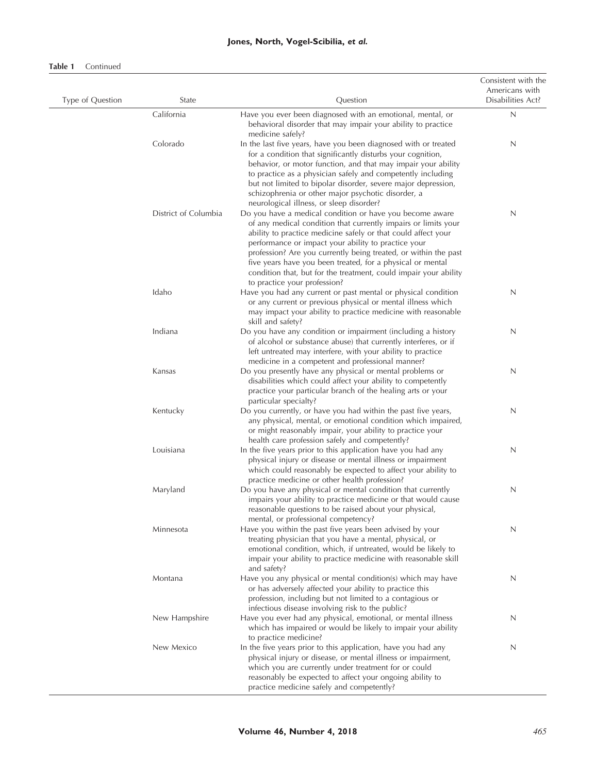# **Jones, North, Vogel-Scibilia,** *et al.*

#### **Table 1** Continued

| Type of Question | State                | Question                                                                                                                                                                                                                                                                                                                                                                                                                                                                                | Consistent with the<br>Americans with<br>Disabilities Act? |
|------------------|----------------------|-----------------------------------------------------------------------------------------------------------------------------------------------------------------------------------------------------------------------------------------------------------------------------------------------------------------------------------------------------------------------------------------------------------------------------------------------------------------------------------------|------------------------------------------------------------|
|                  | California           | Have you ever been diagnosed with an emotional, mental, or<br>behavioral disorder that may impair your ability to practice<br>medicine safely?                                                                                                                                                                                                                                                                                                                                          | $\mathsf{N}$                                               |
|                  | Colorado             | In the last five years, have you been diagnosed with or treated<br>for a condition that significantly disturbs your cognition,<br>behavior, or motor function, and that may impair your ability<br>to practice as a physician safely and competently including<br>but not limited to bipolar disorder, severe major depression,<br>schizophrenia or other major psychotic disorder, a<br>neurological illness, or sleep disorder?                                                       | N                                                          |
|                  | District of Columbia | Do you have a medical condition or have you become aware<br>of any medical condition that currently impairs or limits your<br>ability to practice medicine safely or that could affect your<br>performance or impact your ability to practice your<br>profession? Are you currently being treated, or within the past<br>five years have you been treated, for a physical or mental<br>condition that, but for the treatment, could impair your ability<br>to practice your profession? | N                                                          |
|                  | Idaho                | Have you had any current or past mental or physical condition<br>or any current or previous physical or mental illness which<br>may impact your ability to practice medicine with reasonable<br>skill and safety?                                                                                                                                                                                                                                                                       | N                                                          |
|                  | Indiana              | Do you have any condition or impairment (including a history<br>of alcohol or substance abuse) that currently interferes, or if<br>left untreated may interfere, with your ability to practice<br>medicine in a competent and professional manner?                                                                                                                                                                                                                                      | N                                                          |
|                  | Kansas               | Do you presently have any physical or mental problems or<br>disabilities which could affect your ability to competently<br>practice your particular branch of the healing arts or your<br>particular specialty?                                                                                                                                                                                                                                                                         | N                                                          |
|                  | Kentucky             | Do you currently, or have you had within the past five years,<br>any physical, mental, or emotional condition which impaired,<br>or might reasonably impair, your ability to practice your<br>health care profession safely and competently?                                                                                                                                                                                                                                            | N                                                          |
|                  | Louisiana            | In the five years prior to this application have you had any<br>physical injury or disease or mental illness or impairment<br>which could reasonably be expected to affect your ability to<br>practice medicine or other health profession?                                                                                                                                                                                                                                             | N                                                          |
|                  | Maryland             | Do you have any physical or mental condition that currently<br>impairs your ability to practice medicine or that would cause<br>reasonable questions to be raised about your physical,                                                                                                                                                                                                                                                                                                  | N                                                          |
|                  | Minnesota            | mental, or professional competency?<br>Have you within the past five years been advised by your<br>treating physician that you have a mental, physical, or<br>emotional condition, which, if untreated, would be likely to<br>impair your ability to practice medicine with reasonable skill<br>and safety?                                                                                                                                                                             | N                                                          |
|                  | Montana              | Have you any physical or mental condition(s) which may have<br>or has adversely affected your ability to practice this<br>profession, including but not limited to a contagious or<br>infectious disease involving risk to the public?                                                                                                                                                                                                                                                  | N                                                          |
|                  | New Hampshire        | Have you ever had any physical, emotional, or mental illness<br>which has impaired or would be likely to impair your ability<br>to practice medicine?                                                                                                                                                                                                                                                                                                                                   | N                                                          |
|                  | New Mexico           | In the five years prior to this application, have you had any<br>physical injury or disease, or mental illness or impairment,<br>which you are currently under treatment for or could<br>reasonably be expected to affect your ongoing ability to<br>practice medicine safely and competently?                                                                                                                                                                                          | N                                                          |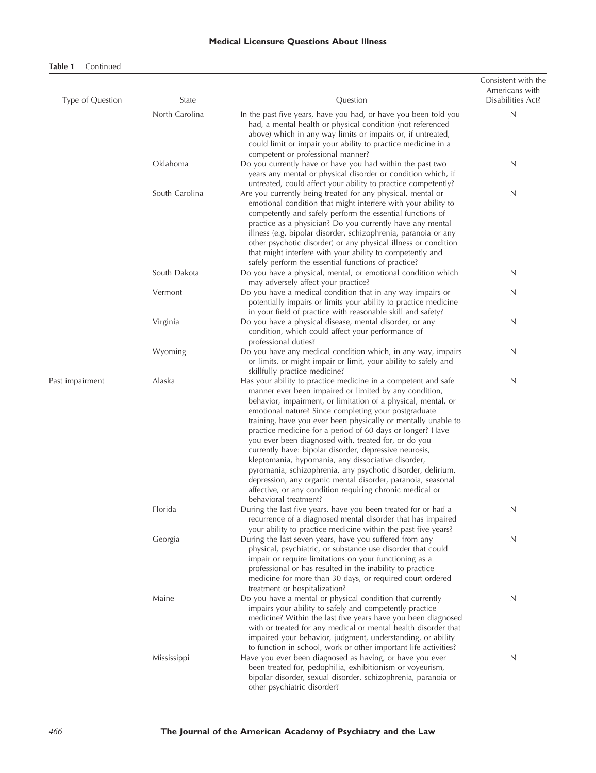#### **Medical Licensure Questions About Illness**

## **Table 1** Continued

| Type of Question | State          | Question                                                                                                                                                                                                                                                                                                                                                                                                                                                                                                                                                                                                                                                                                                                                                                  | Consistent with the<br>Americans with<br>Disabilities Act? |
|------------------|----------------|---------------------------------------------------------------------------------------------------------------------------------------------------------------------------------------------------------------------------------------------------------------------------------------------------------------------------------------------------------------------------------------------------------------------------------------------------------------------------------------------------------------------------------------------------------------------------------------------------------------------------------------------------------------------------------------------------------------------------------------------------------------------------|------------------------------------------------------------|
|                  | North Carolina | In the past five years, have you had, or have you been told you<br>had, a mental health or physical condition (not referenced<br>above) which in any way limits or impairs or, if untreated,<br>could limit or impair your ability to practice medicine in a<br>competent or professional manner?                                                                                                                                                                                                                                                                                                                                                                                                                                                                         | N                                                          |
|                  | Oklahoma       | Do you currently have or have you had within the past two<br>years any mental or physical disorder or condition which, if<br>untreated, could affect your ability to practice competently?                                                                                                                                                                                                                                                                                                                                                                                                                                                                                                                                                                                | N                                                          |
|                  | South Carolina | Are you currently being treated for any physical, mental or<br>emotional condition that might interfere with your ability to<br>competently and safely perform the essential functions of<br>practice as a physician? Do you currently have any mental<br>illness (e.g. bipolar disorder, schizophrenia, paranoia or any<br>other psychotic disorder) or any physical illness or condition<br>that might interfere with your ability to competently and<br>safely perform the essential functions of practice?                                                                                                                                                                                                                                                            | N                                                          |
|                  | South Dakota   | Do you have a physical, mental, or emotional condition which<br>may adversely affect your practice?                                                                                                                                                                                                                                                                                                                                                                                                                                                                                                                                                                                                                                                                       | N                                                          |
|                  | Vermont        | Do you have a medical condition that in any way impairs or<br>potentially impairs or limits your ability to practice medicine<br>in your field of practice with reasonable skill and safety?                                                                                                                                                                                                                                                                                                                                                                                                                                                                                                                                                                              | N                                                          |
|                  | Virginia       | Do you have a physical disease, mental disorder, or any<br>condition, which could affect your performance of<br>professional duties?                                                                                                                                                                                                                                                                                                                                                                                                                                                                                                                                                                                                                                      | N                                                          |
|                  | Wyoming        | Do you have any medical condition which, in any way, impairs<br>or limits, or might impair or limit, your ability to safely and<br>skillfully practice medicine?                                                                                                                                                                                                                                                                                                                                                                                                                                                                                                                                                                                                          | N                                                          |
| Past impairment  | Alaska         | Has your ability to practice medicine in a competent and safe<br>manner ever been impaired or limited by any condition,<br>behavior, impairment, or limitation of a physical, mental, or<br>emotional nature? Since completing your postgraduate<br>training, have you ever been physically or mentally unable to<br>practice medicine for a period of 60 days or longer? Have<br>you ever been diagnosed with, treated for, or do you<br>currently have: bipolar disorder, depressive neurosis,<br>kleptomania, hypomania, any dissociative disorder,<br>pyromania, schizophrenia, any psychotic disorder, delirium,<br>depression, any organic mental disorder, paranoia, seasonal<br>affective, or any condition requiring chronic medical or<br>behavioral treatment? | N                                                          |
|                  | Florida        | During the last five years, have you been treated for or had a<br>recurrence of a diagnosed mental disorder that has impaired<br>your ability to practice medicine within the past five years?                                                                                                                                                                                                                                                                                                                                                                                                                                                                                                                                                                            | N                                                          |
|                  | Georgia        | During the last seven years, have you suffered from any<br>physical, psychiatric, or substance use disorder that could<br>impair or require limitations on your functioning as a<br>professional or has resulted in the inability to practice<br>medicine for more than 30 days, or required court-ordered<br>treatment or hospitalization?                                                                                                                                                                                                                                                                                                                                                                                                                               | N                                                          |
|                  | Maine          | Do you have a mental or physical condition that currently<br>impairs your ability to safely and competently practice<br>medicine? Within the last five years have you been diagnosed<br>with or treated for any medical or mental health disorder that<br>impaired your behavior, judgment, understanding, or ability<br>to function in school, work or other important life activities?                                                                                                                                                                                                                                                                                                                                                                                  | N                                                          |
|                  | Mississippi    | Have you ever been diagnosed as having, or have you ever<br>been treated for, pedophilia, exhibitionism or voyeurism,<br>bipolar disorder, sexual disorder, schizophrenia, paranoia or<br>other psychiatric disorder?                                                                                                                                                                                                                                                                                                                                                                                                                                                                                                                                                     | N                                                          |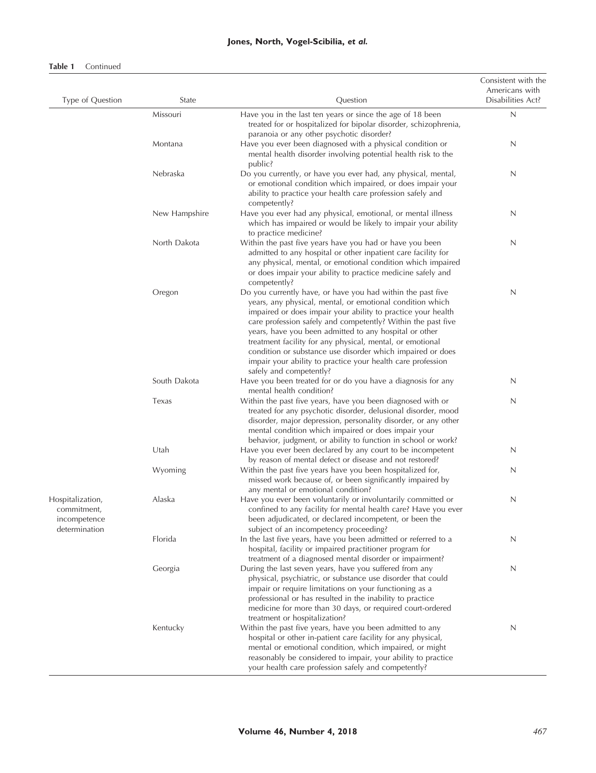# **Jones, North, Vogel-Scibilia,** *et al.*

#### **Table 1** Continued

| Type of Question                                                 | State         | Question                                                                                                                                                                                                                                                                                                                                                                                                                                                                                                                                | Consistent with the<br>Americans with<br>Disabilities Act? |
|------------------------------------------------------------------|---------------|-----------------------------------------------------------------------------------------------------------------------------------------------------------------------------------------------------------------------------------------------------------------------------------------------------------------------------------------------------------------------------------------------------------------------------------------------------------------------------------------------------------------------------------------|------------------------------------------------------------|
|                                                                  | Missouri      | Have you in the last ten years or since the age of 18 been<br>treated for or hospitalized for bipolar disorder, schizophrenia,<br>paranoia or any other psychotic disorder?                                                                                                                                                                                                                                                                                                                                                             | N                                                          |
|                                                                  | Montana       | Have you ever been diagnosed with a physical condition or<br>mental health disorder involving potential health risk to the<br>public?                                                                                                                                                                                                                                                                                                                                                                                                   | N                                                          |
|                                                                  | Nebraska      | Do you currently, or have you ever had, any physical, mental,<br>or emotional condition which impaired, or does impair your<br>ability to practice your health care profession safely and<br>competently?                                                                                                                                                                                                                                                                                                                               | N                                                          |
|                                                                  | New Hampshire | Have you ever had any physical, emotional, or mental illness<br>which has impaired or would be likely to impair your ability<br>to practice medicine?                                                                                                                                                                                                                                                                                                                                                                                   | N                                                          |
|                                                                  | North Dakota  | Within the past five years have you had or have you been<br>admitted to any hospital or other inpatient care facility for<br>any physical, mental, or emotional condition which impaired<br>or does impair your ability to practice medicine safely and<br>competently?                                                                                                                                                                                                                                                                 | N                                                          |
|                                                                  | Oregon        | Do you currently have, or have you had within the past five<br>years, any physical, mental, or emotional condition which<br>impaired or does impair your ability to practice your health<br>care profession safely and competently? Within the past five<br>years, have you been admitted to any hospital or other<br>treatment facility for any physical, mental, or emotional<br>condition or substance use disorder which impaired or does<br>impair your ability to practice your health care profession<br>safely and competently? | N                                                          |
|                                                                  | South Dakota  | Have you been treated for or do you have a diagnosis for any<br>mental health condition?                                                                                                                                                                                                                                                                                                                                                                                                                                                | N                                                          |
|                                                                  | Texas         | Within the past five years, have you been diagnosed with or<br>treated for any psychotic disorder, delusional disorder, mood<br>disorder, major depression, personality disorder, or any other<br>mental condition which impaired or does impair your<br>behavior, judgment, or ability to function in school or work?                                                                                                                                                                                                                  | N                                                          |
|                                                                  | Utah          | Have you ever been declared by any court to be incompetent<br>by reason of mental defect or disease and not restored?                                                                                                                                                                                                                                                                                                                                                                                                                   | N                                                          |
|                                                                  | Wyoming       | Within the past five years have you been hospitalized for,<br>missed work because of, or been significantly impaired by<br>any mental or emotional condition?                                                                                                                                                                                                                                                                                                                                                                           | N                                                          |
| Hospitalization,<br>commitment,<br>incompetence<br>determination | Alaska        | Have you ever been voluntarily or involuntarily committed or<br>confined to any facility for mental health care? Have you ever<br>been adjudicated, or declared incompetent, or been the<br>subject of an incompetency proceeding?                                                                                                                                                                                                                                                                                                      | N                                                          |
|                                                                  | Florida       | In the last five years, have you been admitted or referred to a<br>hospital, facility or impaired practitioner program for<br>treatment of a diagnosed mental disorder or impairment?                                                                                                                                                                                                                                                                                                                                                   | N                                                          |
|                                                                  | Georgia       | During the last seven years, have you suffered from any<br>physical, psychiatric, or substance use disorder that could<br>impair or require limitations on your functioning as a<br>professional or has resulted in the inability to practice<br>medicine for more than 30 days, or required court-ordered<br>treatment or hospitalization?                                                                                                                                                                                             | N                                                          |
|                                                                  | Kentucky      | Within the past five years, have you been admitted to any<br>hospital or other in-patient care facility for any physical,<br>mental or emotional condition, which impaired, or might<br>reasonably be considered to impair, your ability to practice<br>your health care profession safely and competently?                                                                                                                                                                                                                             | N                                                          |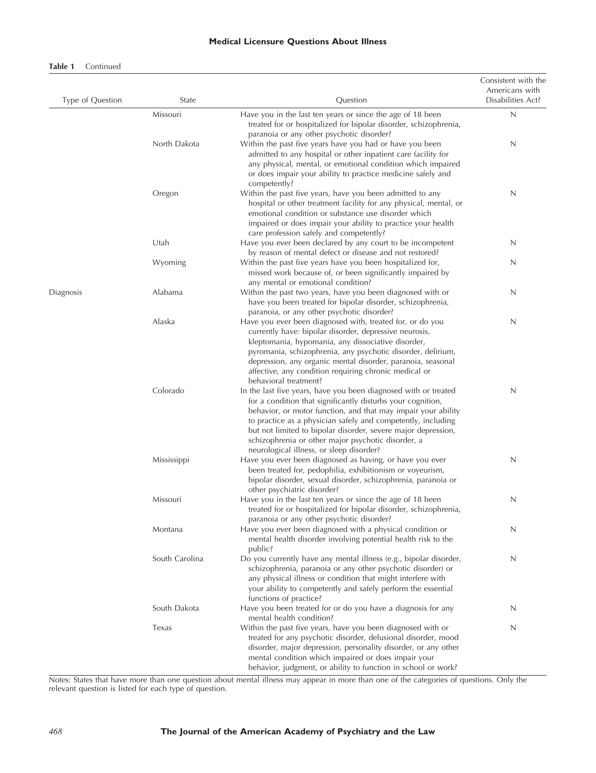#### **Medical Licensure Questions About Illness**

#### **Table 1** Continued

| Type of Question | State          | Question                                                                                                                                                                                                                                                                                                                                                                                                                           | Consistent with the<br>Americans with<br>Disabilities Act? |
|------------------|----------------|------------------------------------------------------------------------------------------------------------------------------------------------------------------------------------------------------------------------------------------------------------------------------------------------------------------------------------------------------------------------------------------------------------------------------------|------------------------------------------------------------|
|                  | Missouri       | Have you in the last ten years or since the age of 18 been<br>treated for or hospitalized for bipolar disorder, schizophrenia,<br>paranoia or any other psychotic disorder?                                                                                                                                                                                                                                                        | $\mathsf{N}$                                               |
|                  | North Dakota   | Within the past five years have you had or have you been<br>admitted to any hospital or other inpatient care facility for<br>any physical, mental, or emotional condition which impaired<br>or does impair your ability to practice medicine safely and<br>competently?                                                                                                                                                            | N                                                          |
|                  | Oregon         | Within the past five years, have you been admitted to any<br>hospital or other treatment facility for any physical, mental, or<br>emotional condition or substance use disorder which<br>impaired or does impair your ability to practice your health                                                                                                                                                                              | N                                                          |
|                  | Utah           | care profession safely and competently?<br>Have you ever been declared by any court to be incompetent<br>by reason of mental defect or disease and not restored?                                                                                                                                                                                                                                                                   | N                                                          |
|                  | Wyoming        | Within the past five years have you been hospitalized for,<br>missed work because of, or been significantly impaired by<br>any mental or emotional condition?                                                                                                                                                                                                                                                                      | N                                                          |
| Diagnosis        | Alabama        | Within the past two years, have you been diagnosed with or<br>have you been treated for bipolar disorder, schizophrenia,<br>paranoia, or any other psychotic disorder?                                                                                                                                                                                                                                                             | N                                                          |
|                  | Alaska         | Have you ever been diagnosed with, treated for, or do you<br>currently have: bipolar disorder, depressive neurosis,<br>kleptomania, hypomania, any dissociative disorder,<br>pyromania, schizophrenia, any psychotic disorder, delirium,<br>depression, any organic mental disorder, paranoia, seasonal<br>affective, any condition requiring chronic medical or<br>behavioral treatment?                                          | N                                                          |
|                  | Colorado       | In the last five years, have you been diagnosed with or treated<br>for a condition that significantly disturbs your cognition,<br>behavior, or motor function, and that may impair your ability<br>to practice as a physician safely and competently, including<br>but not limited to bipolar disorder, severe major depression,<br>schizophrenia or other major psychotic disorder, a<br>neurological illness, or sleep disorder? | N                                                          |
|                  | Mississippi    | Have you ever been diagnosed as having, or have you ever<br>been treated for, pedophilia, exhibitionism or voyeurism,<br>bipolar disorder, sexual disorder, schizophrenia, paranoia or<br>other psychiatric disorder?                                                                                                                                                                                                              | N                                                          |
|                  | Missouri       | Have you in the last ten years or since the age of 18 been<br>treated for or hospitalized for bipolar disorder, schizophrenia,<br>paranoia or any other psychotic disorder?                                                                                                                                                                                                                                                        | N                                                          |
|                  | Montana        | Have you ever been diagnosed with a physical condition or<br>mental health disorder involving potential health risk to the<br>public?                                                                                                                                                                                                                                                                                              | N                                                          |
|                  | South Carolina | Do you currently have any mental illness (e.g., bipolar disorder,<br>schizophrenia, paranoia or any other psychotic disorder) or<br>any physical illness or condition that might interfere with<br>your ability to competently and safely perform the essential<br>functions of practice?                                                                                                                                          | N                                                          |
|                  | South Dakota   | Have you been treated for or do you have a diagnosis for any<br>mental health condition?                                                                                                                                                                                                                                                                                                                                           | N                                                          |
|                  | Texas          | Within the past five years, have you been diagnosed with or<br>treated for any psychotic disorder, delusional disorder, mood<br>disorder, major depression, personality disorder, or any other<br>mental condition which impaired or does impair your<br>behavior, judgment, or ability to function in school or work?                                                                                                             | N                                                          |

Notes: States that have more than one question about mental illness may appear in more than one of the categories of questions. Only the relevant question is listed for each type of question.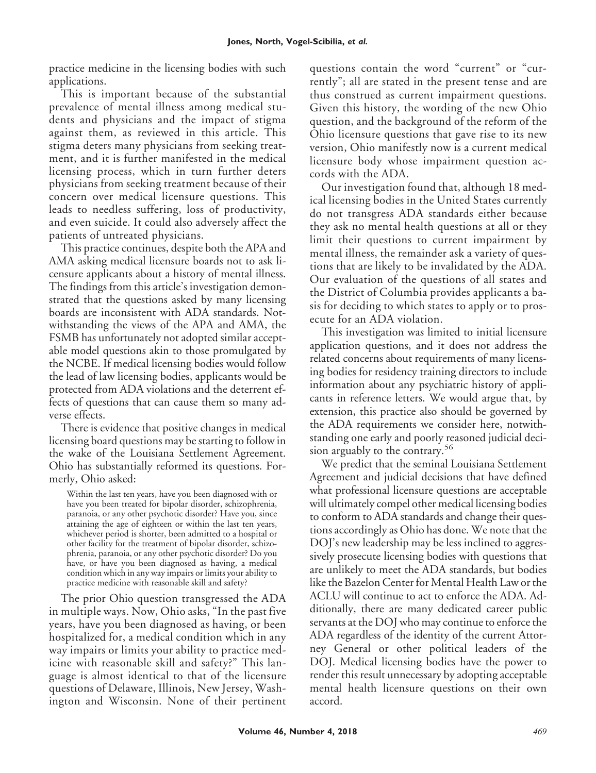practice medicine in the licensing bodies with such applications.

This is important because of the substantial prevalence of mental illness among medical students and physicians and the impact of stigma against them, as reviewed in this article. This stigma deters many physicians from seeking treatment, and it is further manifested in the medical licensing process, which in turn further deters physicians from seeking treatment because of their concern over medical licensure questions. This leads to needless suffering, loss of productivity, and even suicide. It could also adversely affect the patients of untreated physicians.

This practice continues, despite both the APA and AMA asking medical licensure boards not to ask licensure applicants about a history of mental illness. The findings from this article's investigation demonstrated that the questions asked by many licensing boards are inconsistent with ADA standards. Notwithstanding the views of the APA and AMA, the FSMB has unfortunately not adopted similar acceptable model questions akin to those promulgated by the NCBE. If medical licensing bodies would follow the lead of law licensing bodies, applicants would be protected from ADA violations and the deterrent effects of questions that can cause them so many adverse effects.

There is evidence that positive changes in medical licensing board questions may be starting to follow in the wake of the Louisiana Settlement Agreement. Ohio has substantially reformed its questions. Formerly, Ohio asked:

Within the last ten years, have you been diagnosed with or have you been treated for bipolar disorder, schizophrenia, paranoia, or any other psychotic disorder? Have you, since attaining the age of eighteen or within the last ten years, whichever period is shorter, been admitted to a hospital or other facility for the treatment of bipolar disorder, schizophrenia, paranoia, or any other psychotic disorder? Do you have, or have you been diagnosed as having, a medical condition which in any way impairs or limits your ability to practice medicine with reasonable skill and safety?

The prior Ohio question transgressed the ADA in multiple ways. Now, Ohio asks, "In the past five years, have you been diagnosed as having, or been hospitalized for, a medical condition which in any way impairs or limits your ability to practice medicine with reasonable skill and safety?" This language is almost identical to that of the licensure questions of Delaware, Illinois, New Jersey, Washington and Wisconsin. None of their pertinent questions contain the word "current" or "currently"; all are stated in the present tense and are thus construed as current impairment questions. Given this history, the wording of the new Ohio question, and the background of the reform of the Ohio licensure questions that gave rise to its new version, Ohio manifestly now is a current medical licensure body whose impairment question accords with the ADA.

Our investigation found that, although 18 medical licensing bodies in the United States currently do not transgress ADA standards either because they ask no mental health questions at all or they limit their questions to current impairment by mental illness, the remainder ask a variety of questions that are likely to be invalidated by the ADA. Our evaluation of the questions of all states and the District of Columbia provides applicants a basis for deciding to which states to apply or to prosecute for an ADA violation.

This investigation was limited to initial licensure application questions, and it does not address the related concerns about requirements of many licensing bodies for residency training directors to include information about any psychiatric history of applicants in reference letters. We would argue that, by extension, this practice also should be governed by the ADA requirements we consider here, notwithstanding one early and poorly reasoned judicial decision arguably to the contrary.<sup>56</sup>

We predict that the seminal Louisiana Settlement Agreement and judicial decisions that have defined what professional licensure questions are acceptable will ultimately compel other medical licensing bodies to conform to ADA standards and change their questions accordingly as Ohio has done. We note that the DOJ's new leadership may be less inclined to aggressively prosecute licensing bodies with questions that are unlikely to meet the ADA standards, but bodies like the Bazelon Center for Mental Health Law or the ACLU will continue to act to enforce the ADA. Additionally, there are many dedicated career public servants at the DOJ who may continue to enforce the ADA regardless of the identity of the current Attorney General or other political leaders of the DOJ. Medical licensing bodies have the power to render this result unnecessary by adopting acceptable mental health licensure questions on their own accord.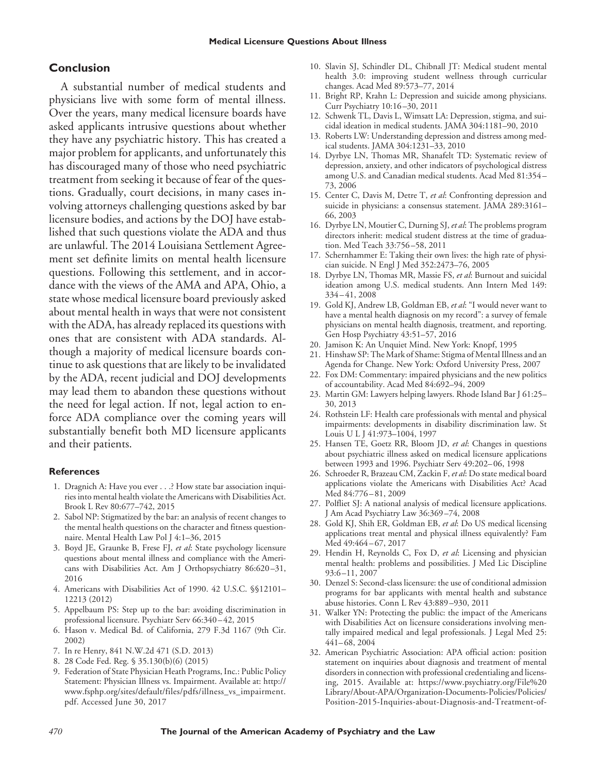## **Conclusion**

A substantial number of medical students and physicians live with some form of mental illness. Over the years, many medical licensure boards have asked applicants intrusive questions about whether they have any psychiatric history. This has created a major problem for applicants, and unfortunately this has discouraged many of those who need psychiatric treatment from seeking it because of fear of the questions. Gradually, court decisions, in many cases involving attorneys challenging questions asked by bar licensure bodies, and actions by the DOJ have established that such questions violate the ADA and thus are unlawful. The 2014 Louisiana Settlement Agreement set definite limits on mental health licensure questions. Following this settlement, and in accordance with the views of the AMA and APA, Ohio, a state whose medical licensure board previously asked about mental health in ways that were not consistent with the ADA, has already replaced its questions with ones that are consistent with ADA standards. Although a majority of medical licensure boards continue to ask questions that are likely to be invalidated by the ADA, recent judicial and DOJ developments may lead them to abandon these questions without the need for legal action. If not, legal action to enforce ADA compliance over the coming years will substantially benefit both MD licensure applicants and their patients.

#### **References**

- 1. Dragnich A: Have you ever . . .? How state bar association inquiries into mental health violate the Americans with Disabilities Act. Brook L Rev 80:677–742, 2015
- 2. Sabol NP: Stigmatized by the bar: an analysis of recent changes to the mental health questions on the character and fitness questionnaire. Mental Health Law Pol J 4:1–36, 2015
- 3. Boyd JE, Graunke B, Frese FJ, *et al*: State psychology licensure questions about mental illness and compliance with the Americans with Disabilities Act. Am J Orthopsychiatry 86:620 –31, 2016
- 4. Americans with Disabilities Act of 1990. 42 U.S.C. §§12101– 12213 (2012)
- 5. Appelbaum PS: Step up to the bar: avoiding discrimination in professional licensure. Psychiatr Serv 66:340 – 42, 2015
- 6. Hason v. Medical Bd. of California, 279 F.3d 1167 (9th Cir. 2002)
- 7. In re Henry, 841 N.W.2d 471 (S.D. 2013)
- 8. 28 Code Fed. Reg. § 35.130(b)(6) (2015)
- 9. Federation of State Physician Heath Programs, Inc.: Public Policy Statement: Physician Illness vs. Impairment. Available at: [http://](http://www.fsphp.org/sites/default/files/pdfs/illness_vs_impairment.pdf) [www.fsphp.org/sites/default/files/pdfs/illness\\_vs\\_impairment.](http://www.fsphp.org/sites/default/files/pdfs/illness_vs_impairment.pdf) [pdf.](http://www.fsphp.org/sites/default/files/pdfs/illness_vs_impairment.pdf) Accessed June 30, 2017
- 10. Slavin SJ, Schindler DL, Chibnall JT: Medical student mental health 3.0: improving student wellness through curricular changes. Acad Med 89:573–77, 2014
- 11. Bright RP, Krahn L: Depression and suicide among physicians. Curr Psychiatry 10:16 –30, 2011
- 12. Schwenk TL, Davis L, Wimsatt LA: Depression, stigma, and suicidal ideation in medical students. JAMA 304:1181–90, 2010
- 13. Roberts LW: Understanding depression and distress among medical students. JAMA 304:1231–33, 2010
- 14. Dyrbye LN, Thomas MR, Shanafelt TD: Systematic review of depression, anxiety, and other indicators of psychological distress among U.S. and Canadian medical students. Acad Med 81:354 – 73, 2006
- 15. Center C, Davis M, Detre T, *et al*: Confronting depression and suicide in physicians: a consensus statement. JAMA 289:3161– 66, 2003
- 16. Dyrbye LN, Moutier C, Durning SJ, *et al*: The problems program directors inherit: medical student distress at the time of graduation. Med Teach 33:756 –58, 2011
- 17. Schernhammer E: Taking their own lives: the high rate of physician suicide. N Engl J Med 352:2473–76, 2005
- 18. Dyrbye LN, Thomas MR, Massie FS, *et al*: Burnout and suicidal ideation among U.S. medical students. Ann Intern Med 149: 334 – 41, 2008
- 19. Gold KJ, Andrew LB, Goldman EB, *et al*: "I would never want to have a mental health diagnosis on my record": a survey of female physicians on mental health diagnosis, treatment, and reporting. Gen Hosp Psychiatry 43:51–57, 2016
- 20. Jamison K: An Unquiet Mind. New York: Knopf, 1995
- 21. Hinshaw SP: The Mark of Shame: Stigma of Mental Illness and an Agenda for Change. New York: Oxford University Press, 2007
- 22. Fox DM: Commentary: impaired physicians and the new politics of accountability. Acad Med 84:692–94, 2009
- 23. Martin GM: Lawyers helping lawyers. Rhode Island Bar J 61:25– 30, 2013
- 24. Rothstein LF: Health care professionals with mental and physical impairments: developments in disability discrimination law. St LouisULJ 41:973–1004, 1997
- 25. Hansen TE, Goetz RR, Bloom JD, *et al*: Changes in questions about psychiatric illness asked on medical licensure applications between 1993 and 1996. Psychiatr Serv 49:202– 06, 1998
- 26. Schroeder R, Brazeau CM, Zackin F, *et al*: Do state medical board applications violate the Americans with Disabilities Act? Acad Med 84:776 – 81, 2009
- 27. Polfliet SJ: A national analysis of medical licensure applications. J Am Acad Psychiatry Law 36:369 –74, 2008
- 28. Gold KJ, Shih ER, Goldman EB, *et al*: Do US medical licensing applications treat mental and physical illness equivalently? Fam Med 49:464-67, 2017
- 29. Hendin H, Reynolds C, Fox D, *et al*: Licensing and physician mental health: problems and possibilities. J Med Lic Discipline 93:6 –11, 2007
- 30. Denzel S: Second-class licensure: the use of conditional admission programs for bar applicants with mental health and substance abuse histories. Conn L Rev 43:889 –930, 2011
- 31. Walker YN: Protecting the public: the impact of the Americans with Disabilities Act on licensure considerations involving mentally impaired medical and legal professionals. J Legal Med 25: 441– 68, 2004
- 32. American Psychiatric Association: APA official action: position statement on inquiries about diagnosis and treatment of mental disorders in connection with professional credentialing and licensing, 2015. Available at: [https://www.psychiatry.org/File%20](https://www.psychiatry.org/File%20Library/About-APA/Organization-Documents-Policies/Policies/Position-2015-Inquiries-about-Diagnosis-and-Treatment-of-Mental-Disorders-in-Connection-with-Professional-Credentialing-and-Licensing.pdf) [Library/About-APA/Organization-Documents-Policies/Policies/](https://www.psychiatry.org/File%20Library/About-APA/Organization-Documents-Policies/Policies/Position-2015-Inquiries-about-Diagnosis-and-Treatment-of-Mental-Disorders-in-Connection-with-Professional-Credentialing-and-Licensing.pdf) [Position-2015-Inquiries-about-Diagnosis-and-Treatment-of-](https://www.psychiatry.org/File%20Library/About-APA/Organization-Documents-Policies/Policies/Position-2015-Inquiries-about-Diagnosis-and-Treatment-of-Mental-Disorders-in-Connection-with-Professional-Credentialing-and-Licensing.pdf)